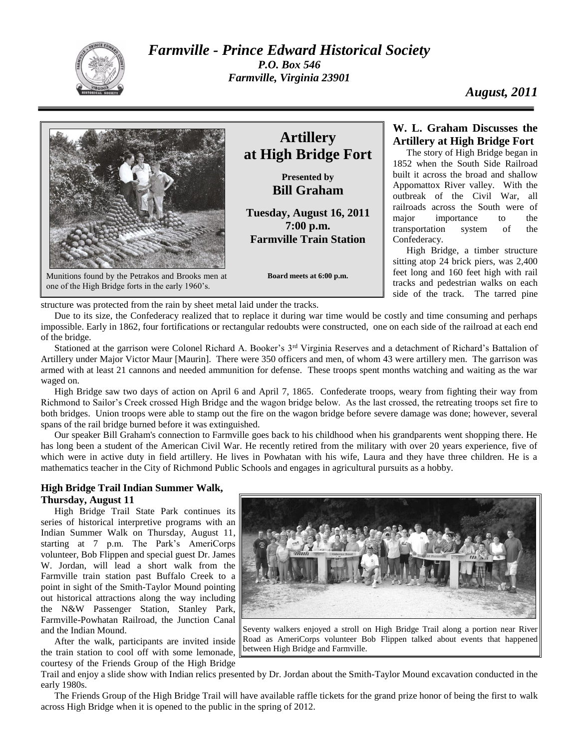

*Farmville - Prince Edward Historical Society P.O. Box 546 Farmville, Virginia 23901*

*August, 2011*



Munitions found by the Petrakos and Brooks men at one of the High Bridge forts in the early 1960's.

# **Artillery at High Bridge Fort**

**Presented by Bill Graham**

**Tuesday, August 16, 2011 7:00 p.m. Farmville Train Station**

**Board meets at 6:00 p.m.**

## **W. L. Graham Discusses the Artillery at High Bridge Fort**

The story of High Bridge began in 1852 when the South Side Railroad built it across the broad and shallow Appomattox River valley. With the outbreak of the Civil War, all railroads across the South were of major importance to the transportation system of the Confederacy.

High Bridge, a timber structure sitting atop 24 brick piers, was 2,400 feet long and 160 feet high with rail tracks and pedestrian walks on each side of the track. The tarred pine

structure was protected from the rain by sheet metal laid under the tracks.

Due to its size, the Confederacy realized that to replace it during war time would be costly and time consuming and perhaps impossible. Early in 1862, four fortifications or rectangular redoubts were constructed, one on each side of the railroad at each end of the bridge.

Stationed at the garrison were Colonel Richard A. Booker's 3<sup>rd</sup> Virginia Reserves and a detachment of Richard's Battalion of Artillery under Major Victor Maur [Maurin]. There were 350 officers and men, of whom 43 were artillery men. The garrison was armed with at least 21 cannons and needed ammunition for defense. These troops spent months watching and waiting as the war waged on.

High Bridge saw two days of action on April 6 and April 7, 1865. Confederate troops, weary from fighting their way from Richmond to Sailor's Creek crossed High Bridge and the wagon bridge below. As the last crossed, the retreating troops set fire to both bridges. Union troops were able to stamp out the fire on the wagon bridge before severe damage was done; however, several spans of the rail bridge burned before it was extinguished.

Our speaker Bill Graham's connection to Farmville goes back to his childhood when his grandparents went shopping there. He has long been a student of the American Civil War. He recently retired from the military with over 20 years experience, five of which were in active duty in field artillery. He lives in Powhatan with his wife, Laura and they have three children. He is a mathematics teacher in the City of Richmond Public Schools and engages in agricultural pursuits as a hobby.

## **High Bridge Trail Indian Summer Walk, Thursday, August 11**

High Bridge Trail State Park continues its series of historical interpretive programs with an Indian Summer Walk on Thursday, August 11, starting at 7 p.m. The Park's AmeriCorps volunteer, Bob Flippen and special guest Dr. James W. Jordan, will lead a short walk from the Farmville train station past Buffalo Creek to a point in sight of the Smith-Taylor Mound pointing out historical attractions along the way including the N&W Passenger Station, Stanley Park, Farmville-Powhatan Railroad, the Junction Canal and the Indian Mound.

After the walk, participants are invited inside the train station to cool off with some lemonade, courtesy of the Friends Group of the High Bridge



Seventy walkers enjoyed a stroll on High Bridge Trail along a portion near River Road as AmeriCorps volunteer Bob Flippen talked about events that happened between High Bridge and Farmville.

Trail and enjoy a slide show with Indian relics presented by Dr. Jordan about the Smith-Taylor Mound excavation conducted in the early 1980s.

The Friends Group of the High Bridge Trail will have available raffle tickets for the grand prize honor of being the first to walk across High Bridge when it is opened to the public in the spring of 2012.